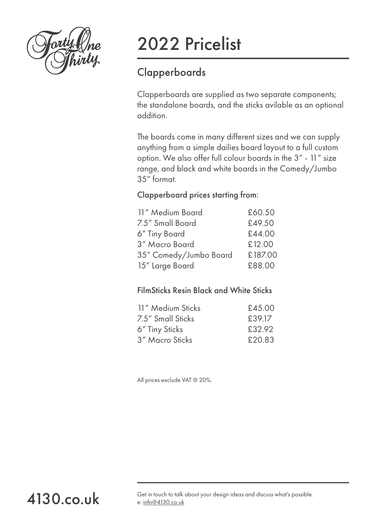

[4130.co.uk](http://www.4130.co.uk/)

# 2022 Pricelist

## **Clapperboards**

Clapperboards are supplied as two separate components; the standalone boards, and the sticks avilable as an optional addition.

The boards come in many different sizes and we can supply anything from a simple dailies board layout to a full custom option. We also offer full colour boards in the 3" - 11" size range, and black and white boards in the Comedy/Jumbo 35" format.

## Clapperboard prices starting from:

| 11" Medium Board       | £60.50  |
|------------------------|---------|
| 7.5" Small Board       | £49.50  |
| 6" Tiny Board          | £44.00  |
| 3" Macro Board         | £12.00  |
| 35" Comedy/Jumbo Board | £187.00 |
| 15" Large Board        | £88.00  |

### FilmSticks Resin Black and White Sticks

| 11" Medium Sticks | £45.00 |
|-------------------|--------|
| 7.5" Small Sticks | £39.17 |
| 6" Tiny Sticks    | £32.92 |
| 3" Macro Sticks   | £20.83 |
|                   |        |

All prices exclude VAT @ 20%.

Get in touch to talk about your design ideas and discuss what's possible. e: [info@4130.co.uk](mailto:info%404130.co.uk?subject=New%20Order%20Enquiry)